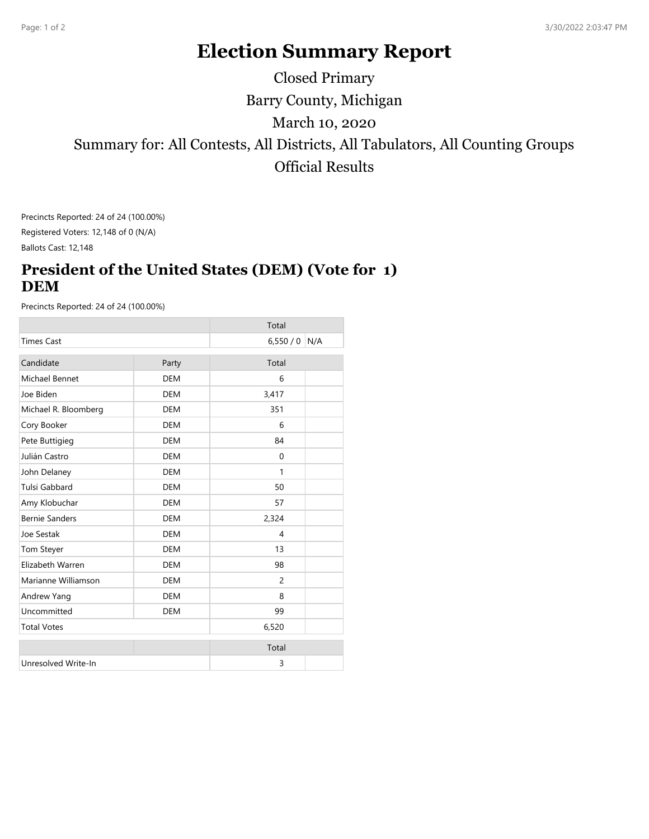## **Election Summary Report**

Barry County, Michigan Summary for: All Contests, All Districts, All Tabulators, All Counting Groups Official Results March 10, 2020 Closed Primary

Precincts Reported: 24 of 24 (100.00%) Registered Voters: 12,148 of 0 (N/A)

Ballots Cast: 12,148

## **President of the United States (DEM) (Vote for 1) DEM**

Precincts Reported: 24 of 24 (100.00%)

|                       |            | Total          |     |
|-----------------------|------------|----------------|-----|
| <b>Times Cast</b>     |            | 6,550/0        | N/A |
| Candidate             | Party      | Total          |     |
| Michael Bennet        | <b>DEM</b> | 6              |     |
| Joe Biden             | <b>DEM</b> | 3,417          |     |
| Michael R. Bloomberg  | <b>DEM</b> | 351            |     |
| Cory Booker           | <b>DEM</b> | 6              |     |
| Pete Buttigieg        | <b>DEM</b> | 84             |     |
| Julián Castro         | <b>DEM</b> | $\Omega$       |     |
| John Delaney          | <b>DEM</b> | $\mathbf{1}$   |     |
| <b>Tulsi Gabbard</b>  | <b>DEM</b> | 50             |     |
| Amy Klobuchar         | <b>DEM</b> | 57             |     |
| <b>Bernie Sanders</b> | <b>DEM</b> | 2,324          |     |
| Joe Sestak            | <b>DEM</b> | $\overline{4}$ |     |
| <b>Tom Steyer</b>     | <b>DEM</b> | 13             |     |
| Elizabeth Warren      | <b>DEM</b> | 98             |     |
| Marianne Williamson   | <b>DEM</b> | $\overline{c}$ |     |
| Andrew Yang           | <b>DEM</b> | 8              |     |
| Uncommitted           | <b>DEM</b> | 99             |     |
| <b>Total Votes</b>    |            | 6,520          |     |
|                       |            | Total          |     |
| Unresolved Write-In   |            | 3              |     |